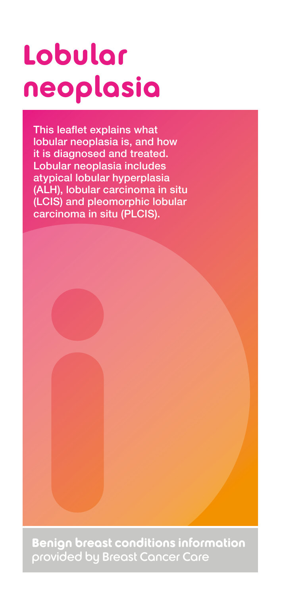# **Lobular neoplasia**

This leaflet explains what lobular neoplasia is, and how it is diagnosed and treated. Lobular neoplasia includes atypical lobular hyperplasia (ALH), lobular carcinoma in situ (LCIS) and pleomorphic lobular carcinoma in situ (PLCIS).

**Benign breast conditions information**  provided by Breast Cancer Care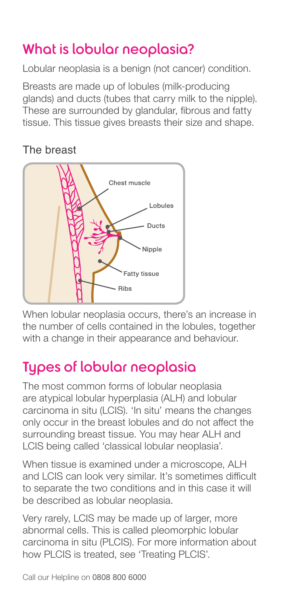# What is lobular neoplasia?

Lobular neoplasia is a benign (not cancer) condition.

Breasts are made up of lobules (milk-producing glands) and ducts (tubes that carry milk to the nipple). These are surrounded by glandular, fibrous and fatty tissue. This tissue gives breasts their size and shape.

#### The breast



When lobular neoplasia occurs, there's an increase in the number of cells contained in the lobules, together with a change in their appearance and behaviour.

# Types of lobular neoplasia

The most common forms of lobular neoplasia are atypical lobular hyperplasia (ALH) and lobular carcinoma in situ (LCIS). 'In situ' means the changes only occur in the breast lobules and do not affect the surrounding breast tissue. You may hear ALH and LCIS being called 'classical lobular neoplasia'.

When tissue is examined under a microscope, ALH and LCIS can look very similar. It's sometimes difficult to separate the two conditions and in this case it will be described as lobular neoplasia.

Very rarely, LCIS may be made up of larger, more abnormal cells. This is called pleomorphic lobular carcinoma in situ (PLCIS). For more information about how PLCIS is treated, see 'Treating PLCIS'.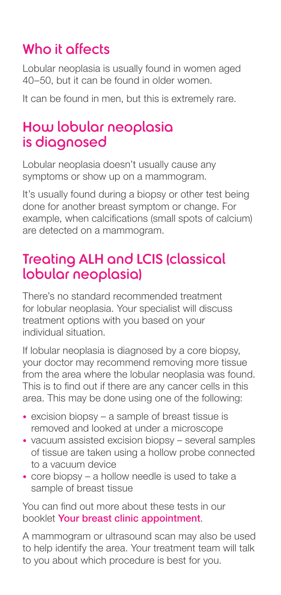# Who it affects

Lobular neoplasia is usually found in women aged 40–50, but it can be found in older women.

It can be found in men, but this is extremely rare.

#### How lobular neoplasia is diagnosed

Lobular neoplasia doesn't usually cause any symptoms or show up on a mammogram.

It's usually found during a biopsy or other test being done for another breast symptom or change. For example, when calcifications (small spots of calcium) are detected on a mammogram.

#### Treating ALH and LCIS (classical lobular neoplasia)

There's no standard recommended treatment for lobular neoplasia. Your specialist will discuss treatment options with you based on your individual situation.

If lobular neoplasia is diagnosed by a core biopsy, your doctor may recommend removing more tissue from the area where the lobular neoplasia was found. This is to find out if there are any cancer cells in this area. This may be done using one of the following:

- excision biopsy a sample of breast tissue is removed and looked at under a microscope
- vacuum assisted excision biopsy several samples of tissue are taken using a hollow probe connected to a vacuum device
- core biopsy a hollow needle is used to take a sample of breast tissue

You can find out more about these tests in our booklet Your breast clinic appointment.

A mammogram or ultrasound scan may also be used to help identify the area. Your treatment team will talk to you about which procedure is best for you.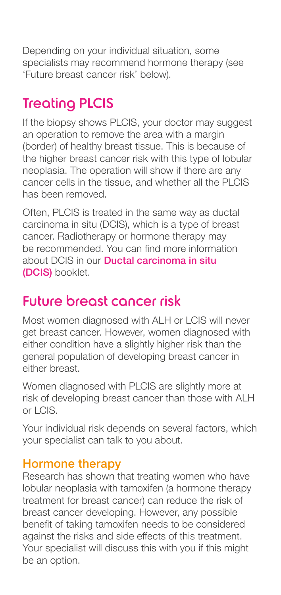Depending on your individual situation, some specialists may recommend hormone therapy (see 'Future breast cancer risk' below).

# Treating PLCIS

If the biopsy shows PLCIS, your doctor may suggest an operation to remove the area with a margin (border) of healthy breast tissue. This is because of the higher breast cancer risk with this type of lobular neoplasia. The operation will show if there are any cancer cells in the tissue, and whether all the PLCIS has been removed.

Often, PLCIS is treated in the same way as ductal carcinoma in situ (DCIS), which is a type of breast cancer. Radiotherapy or hormone therapy may be recommended. You can find more information about DCIS in our Ductal carcinoma in situ (DCIS) booklet.

### Future breast cancer risk

Most women diagnosed with ALH or LCIS will never get breast cancer. However, women diagnosed with either condition have a slightly higher risk than the general population of developing breast cancer in either breast.

Women diagnosed with PLCIS are slightly more at risk of developing breast cancer than those with ALH or LCIS.

Your individual risk depends on several factors, which your specialist can talk to you about.

#### Hormone therapy

Research has shown that treating women who have lobular neoplasia with tamoxifen (a hormone therapy treatment for breast cancer) can reduce the risk of breast cancer developing. However, any possible benefit of taking tamoxifen needs to be considered against the risks and side effects of this treatment. Your specialist will discuss this with you if this might be an option.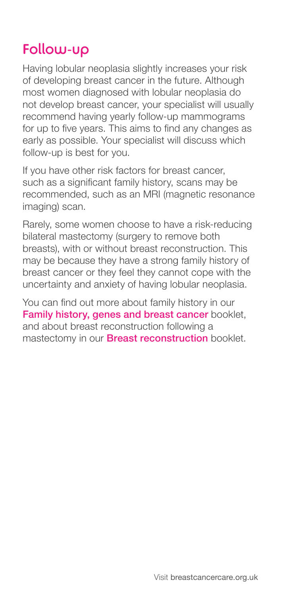### Follow-up

Having lobular neoplasia slightly increases your risk of developing breast cancer in the future. Although most women diagnosed with lobular neoplasia do not develop breast cancer, your specialist will usually recommend having yearly follow-up mammograms for up to five years. This aims to find any changes as early as possible. Your specialist will discuss which follow-up is best for you.

If you have other risk factors for breast cancer, such as a significant family history, scans may be recommended, such as an MRI (magnetic resonance imaging) scan.

Rarely, some women choose to have a risk-reducing bilateral mastectomy (surgery to remove both breasts), with or without breast reconstruction. This may be because they have a strong family history of breast cancer or they feel they cannot cope with the uncertainty and anxiety of having lobular neoplasia.

You can find out more about family history in our Family history, genes and breast cancer booklet, and about breast reconstruction following a mastectomy in our **Breast reconstruction** booklet.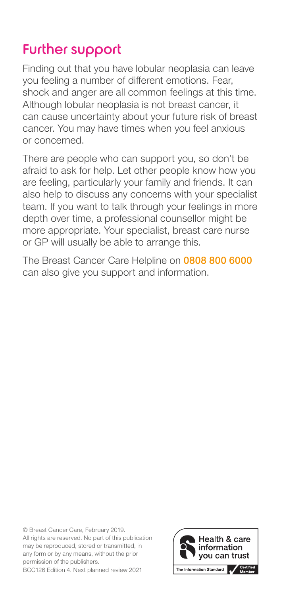## Further support

Finding out that you have lobular neoplasia can leave you feeling a number of different emotions. Fear, shock and anger are all common feelings at this time. Although lobular neoplasia is not breast cancer, it can cause uncertainty about your future risk of breast cancer. You may have times when you feel anxious or concerned.

There are people who can support you, so don't be afraid to ask for help. Let other people know how you are feeling, particularly your family and friends. It can also help to discuss any concerns with your specialist team. If you want to talk through your feelings in more depth over time, a professional counsellor might be more appropriate. Your specialist, breast care nurse or GP will usually be able to arrange this.

The Breast Cancer Care Helpline on 0808 800 6000 can also give you support and information.

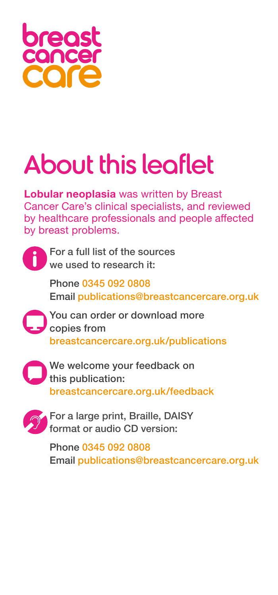

# About this leaflet

**Lobular neoplasia** was written by Breast Cancer Care's clinical specialists, and reviewed by healthcare professionals and people affected by breast problems.



For a full list of the sources we used to research it:

Phone 0345 092 0808 Email publications@breastcancercare.org.uk

You can order or download more copies from breastcancercare.org.uk/publications



We welcome your feedback on this publication: breastcancercare.org.uk/feedback



For a large print, Braille, DAISY format or audio CD version:

Phone 0345 092 0808 Email publications@breastcancercare.org.uk